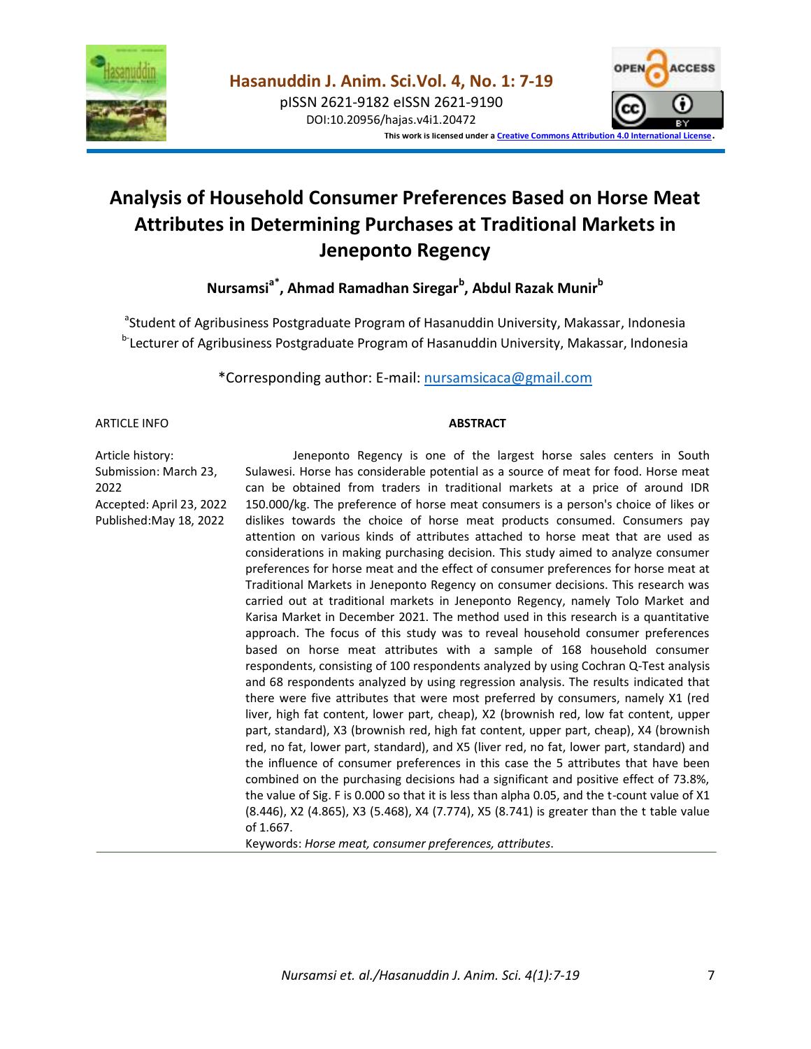

pISSN 2621-9182 eISSN 2621-9190 DOI:10.20956/hajas.v4i1.20472



**This work is licensed under [a Creative Commons Attribution 4.0 International License](http://creativecommons.org/licenses/by/4.0/)**.

# **Analysis of Household Consumer Preferences Based on Horse Meat Attributes in Determining Purchases at Traditional Markets in Jeneponto Regency**

**Nursamsia\*, Ahmad Ramadhan Siregar<sup>b</sup> , Abdul Razak Munir<sup>b</sup>**

<sup>a</sup>Student of Agribusiness Postgraduate Program of Hasanuddin University, Makassar, Indonesia <sup>b-</sup>Lecturer of Agribusiness Postgraduate Program of Hasanuddin University, Makassar, Indonesia

\*Corresponding author: E-mail: [nursamsicaca@gmail.com](mailto:nursamsicaca@gmail.com)

#### ARTICLE INFO

#### **ABSTRACT**

Article history: Submission: March 23, 2022 Accepted: April 23, 2022 Published:May 18, 2022

Jeneponto Regency is one of the largest horse sales centers in South Sulawesi. Horse has considerable potential as a source of meat for food. Horse meat can be obtained from traders in traditional markets at a price of around IDR 150.000/kg. The preference of horse meat consumers is a person's choice of likes or dislikes towards the choice of horse meat products consumed. Consumers pay attention on various kinds of attributes attached to horse meat that are used as considerations in making purchasing decision. This study aimed to analyze consumer preferences for horse meat and the effect of consumer preferences for horse meat at Traditional Markets in Jeneponto Regency on consumer decisions. This research was carried out at traditional markets in Jeneponto Regency, namely Tolo Market and Karisa Market in December 2021. The method used in this research is a quantitative approach. The focus of this study was to reveal household consumer preferences based on horse meat attributes with a sample of 168 household consumer respondents, consisting of 100 respondents analyzed by using Cochran Q-Test analysis and 68 respondents analyzed by using regression analysis. The results indicated that there were five attributes that were most preferred by consumers, namely X1 (red liver, high fat content, lower part, cheap), X2 (brownish red, low fat content, upper part, standard), X3 (brownish red, high fat content, upper part, cheap), X4 (brownish red, no fat, lower part, standard), and X5 (liver red, no fat, lower part, standard) and the influence of consumer preferences in this case the 5 attributes that have been combined on the purchasing decisions had a significant and positive effect of 73.8%, the value of Sig. F is 0.000 so that it is less than alpha 0.05, and the t-count value of X1 (8.446), X2 (4.865), X3 (5.468), X4 (7.774), X5 (8.741) is greater than the t table value of 1.667.

Keywords: *Horse meat, consumer preferences, attributes*.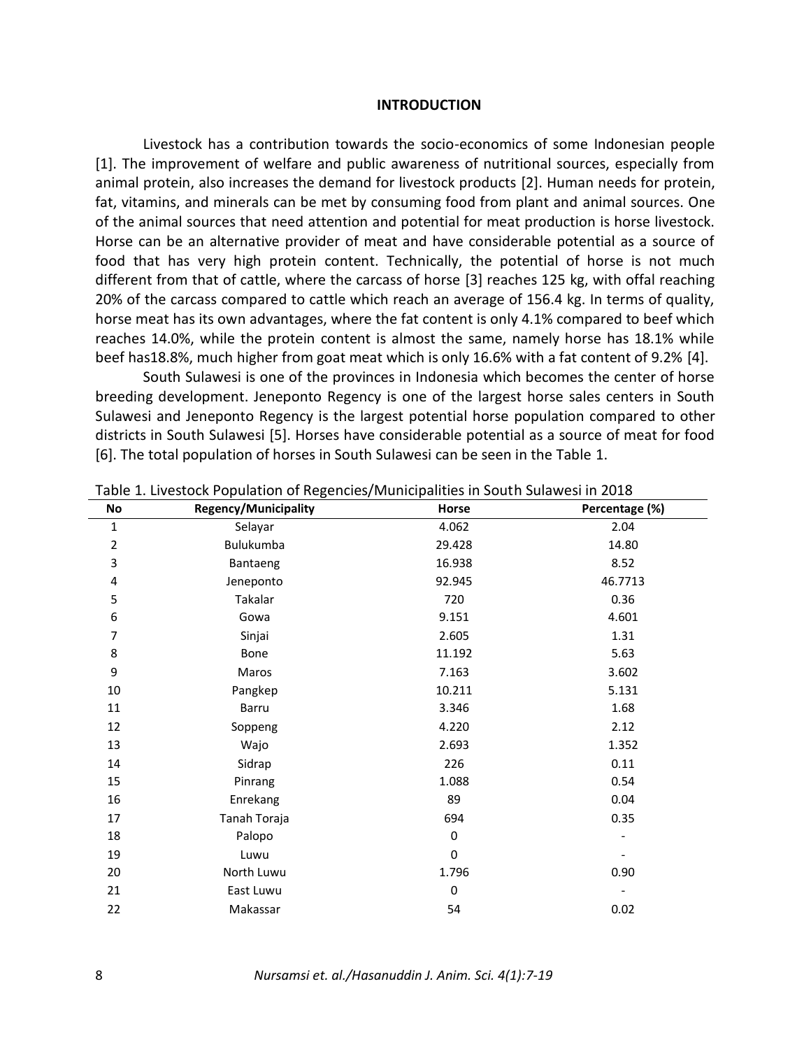#### **INTRODUCTION**

Livestock has a contribution towards the socio-economics of some Indonesian people [1]. The improvement of welfare and public awareness of nutritional sources, especially from animal protein, also increases the demand for livestock products [2]. Human needs for protein, fat, vitamins, and minerals can be met by consuming food from plant and animal sources. One of the animal sources that need attention and potential for meat production is horse livestock. Horse can be an alternative provider of meat and have considerable potential as a source of food that has very high protein content. Technically, the potential of horse is not much different from that of cattle, where the carcass of horse [3] reaches 125 kg, with offal reaching 20% of the carcass compared to cattle which reach an average of 156.4 kg. In terms of quality, horse meat has its own advantages, where the fat content is only 4.1% compared to beef which reaches 14.0%, while the protein content is almost the same, namely horse has 18.1% while beef has18.8%, much higher from goat meat which is only 16.6% with a fat content of 9.2% [4].

South Sulawesi is one of the provinces in Indonesia which becomes the center of horse breeding development. Jeneponto Regency is one of the largest horse sales centers in South Sulawesi and Jeneponto Regency is the largest potential horse population compared to other districts in South Sulawesi [5]. Horses have considerable potential as a source of meat for food [6]. The total population of horses in South Sulawesi can be seen in the Table 1.

| No             | Regency/Municipality | Horse            | Percentage (%) |
|----------------|----------------------|------------------|----------------|
| $\mathbf 1$    | Selayar              | 4.062            | 2.04           |
| $\overline{2}$ | Bulukumba            | 29.428           | 14.80          |
| 3              | Bantaeng             | 16.938           | 8.52           |
| 4              | Jeneponto            | 92.945           | 46.7713        |
| 5              | Takalar              | 720              | 0.36           |
| 6              | Gowa                 | 9.151            | 4.601          |
| 7              | Sinjai               | 2.605            | 1.31           |
| 8              | Bone                 | 11.192           | 5.63           |
| 9              | Maros                | 7.163            | 3.602          |
| 10             | Pangkep              | 10.211           | 5.131          |
| 11             | Barru                | 3.346            | 1.68           |
| 12             | Soppeng              | 4.220            | 2.12           |
| 13             | Wajo                 | 2.693            | 1.352          |
| 14             | Sidrap               | 226              | 0.11           |
| 15             | Pinrang              | 1.088            | 0.54           |
| 16             | Enrekang             | 89               | 0.04           |
| 17             | Tanah Toraja         | 694              | 0.35           |
| 18             | Palopo               | $\pmb{0}$        |                |
| 19             | Luwu                 | $\boldsymbol{0}$ |                |
| 20             | North Luwu           | 1.796            | 0.90           |
| 21             | East Luwu            | $\boldsymbol{0}$ |                |
| 22             | Makassar             | 54               | 0.02           |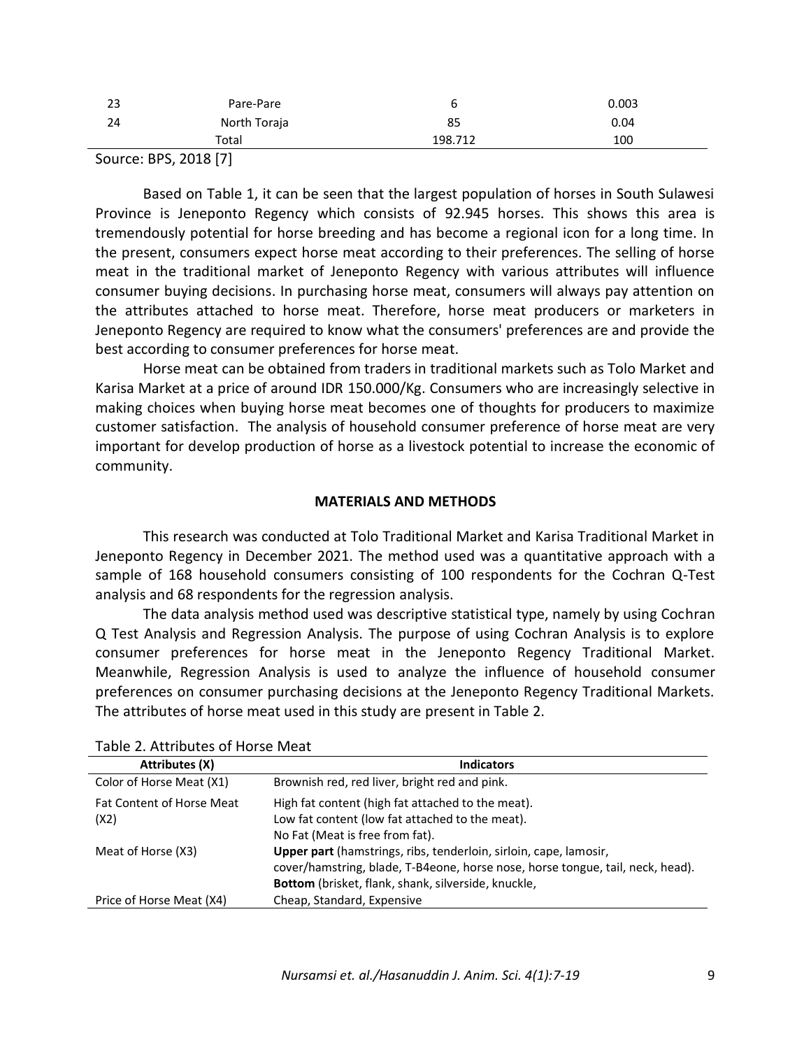| 23 | Pare-Pare    | ь       | 0.003 |
|----|--------------|---------|-------|
| 24 | North Toraja | 85      | 0.04  |
|    | Total        | 198.712 | 100   |

Source: BPS, 2018 [7]

Based on Table 1, it can be seen that the largest population of horses in South Sulawesi Province is Jeneponto Regency which consists of 92.945 horses. This shows this area is tremendously potential for horse breeding and has become a regional icon for a long time. In the present, consumers expect horse meat according to their preferences. The selling of horse meat in the traditional market of Jeneponto Regency with various attributes will influence consumer buying decisions. In purchasing horse meat, consumers will always pay attention on the attributes attached to horse meat. Therefore, horse meat producers or marketers in Jeneponto Regency are required to know what the consumers' preferences are and provide the best according to consumer preferences for horse meat.

Horse meat can be obtained from traders in traditional markets such as Tolo Market and Karisa Market at a price of around IDR 150.000/Kg. Consumers who are increasingly selective in making choices when buying horse meat becomes one of thoughts for producers to maximize customer satisfaction. The analysis of household consumer preference of horse meat are very important for develop production of horse as a livestock potential to increase the economic of community.

# **MATERIALS AND METHODS**

This research was conducted at Tolo Traditional Market and Karisa Traditional Market in Jeneponto Regency in December 2021. The method used was a quantitative approach with a sample of 168 household consumers consisting of 100 respondents for the Cochran Q-Test analysis and 68 respondents for the regression analysis.

The data analysis method used was descriptive statistical type, namely by using Cochran Q Test Analysis and Regression Analysis. The purpose of using Cochran Analysis is to explore consumer preferences for horse meat in the Jeneponto Regency Traditional Market. Meanwhile, Regression Analysis is used to analyze the influence of household consumer preferences on consumer purchasing decisions at the Jeneponto Regency Traditional Markets. The attributes of horse meat used in this study are present in Table 2.

| <b>Attributes (X)</b>            | <b>Indicators</b>                                                              |
|----------------------------------|--------------------------------------------------------------------------------|
| Color of Horse Meat (X1)         | Brownish red, red liver, bright red and pink.                                  |
| <b>Fat Content of Horse Meat</b> | High fat content (high fat attached to the meat).                              |
| (X2)                             | Low fat content (low fat attached to the meat).                                |
|                                  | No Fat (Meat is free from fat).                                                |
| Meat of Horse (X3)               | <b>Upper part</b> (hamstrings, ribs, tenderloin, sirloin, cape, lamosir,       |
|                                  | cover/hamstring, blade, T-B4eone, horse nose, horse tongue, tail, neck, head). |
|                                  | Bottom (brisket, flank, shank, silverside, knuckle,                            |
| Price of Horse Meat (X4)         | Cheap, Standard, Expensive                                                     |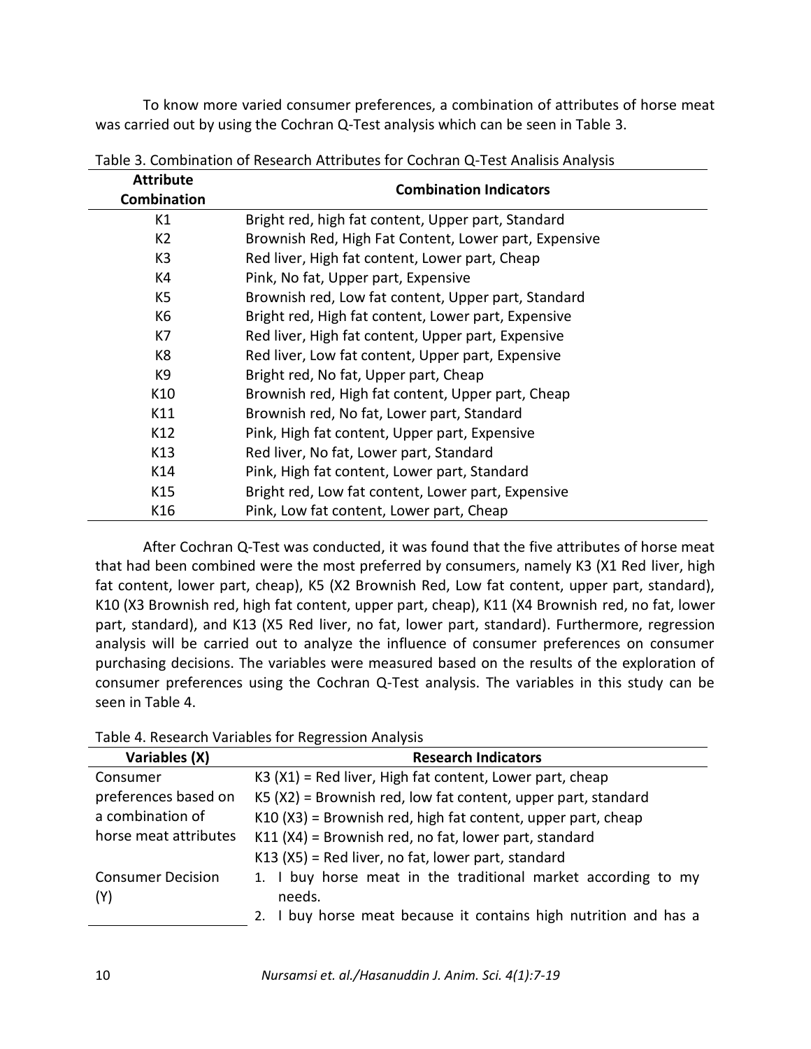To know more varied consumer preferences, a combination of attributes of horse meat was carried out by using the Cochran Q-Test analysis which can be seen in Table 3.

| <b>Attribute</b><br><b>Combination</b> | <b>Combination Indicators</b>                         |  |  |
|----------------------------------------|-------------------------------------------------------|--|--|
| K1                                     | Bright red, high fat content, Upper part, Standard    |  |  |
| K <sub>2</sub>                         | Brownish Red, High Fat Content, Lower part, Expensive |  |  |
| K <sub>3</sub>                         | Red liver, High fat content, Lower part, Cheap        |  |  |
| K4                                     | Pink, No fat, Upper part, Expensive                   |  |  |
| K5                                     | Brownish red, Low fat content, Upper part, Standard   |  |  |
| K <sub>6</sub>                         | Bright red, High fat content, Lower part, Expensive   |  |  |
| K7                                     | Red liver, High fat content, Upper part, Expensive    |  |  |
| K8                                     | Red liver, Low fat content, Upper part, Expensive     |  |  |
| K9                                     | Bright red, No fat, Upper part, Cheap                 |  |  |
| K10                                    | Brownish red, High fat content, Upper part, Cheap     |  |  |
| K11                                    | Brownish red, No fat, Lower part, Standard            |  |  |
| K12                                    | Pink, High fat content, Upper part, Expensive         |  |  |
| K13                                    | Red liver, No fat, Lower part, Standard               |  |  |
| K14                                    | Pink, High fat content, Lower part, Standard          |  |  |
| K15                                    | Bright red, Low fat content, Lower part, Expensive    |  |  |
| K16                                    | Pink, Low fat content, Lower part, Cheap              |  |  |

Table 3. Combination of Research Attributes for Cochran Q-Test Analisis Analysis

After Cochran Q-Test was conducted, it was found that the five attributes of horse meat that had been combined were the most preferred by consumers, namely K3 (X1 Red liver, high fat content, lower part, cheap), K5 (X2 Brownish Red, Low fat content, upper part, standard), K10 (X3 Brownish red, high fat content, upper part, cheap), K11 (X4 Brownish red, no fat, lower part, standard), and K13 (X5 Red liver, no fat, lower part, standard). Furthermore, regression analysis will be carried out to analyze the influence of consumer preferences on consumer purchasing decisions. The variables were measured based on the results of the exploration of consumer preferences using the Cochran Q-Test analysis. The variables in this study can be seen in Table 4.

| Variables (X)            | <b>Research Indicators</b>                                       |
|--------------------------|------------------------------------------------------------------|
| Consumer                 | K3 (X1) = Red liver, High fat content, Lower part, cheap         |
| preferences based on     | $K5(X2)$ = Brownish red, low fat content, upper part, standard   |
| a combination of         | K10 (X3) = Brownish red, high fat content, upper part, cheap     |
| horse meat attributes    | $K11$ (X4) = Brownish red, no fat, lower part, standard          |
|                          | $K13$ (X5) = Red liver, no fat, lower part, standard             |
| <b>Consumer Decision</b> | 1. I buy horse meat in the traditional market according to my    |
| (Y)                      | needs.                                                           |
|                          | 2. I buy horse meat because it contains high nutrition and has a |

Table 4. Research Variables for Regression Analysis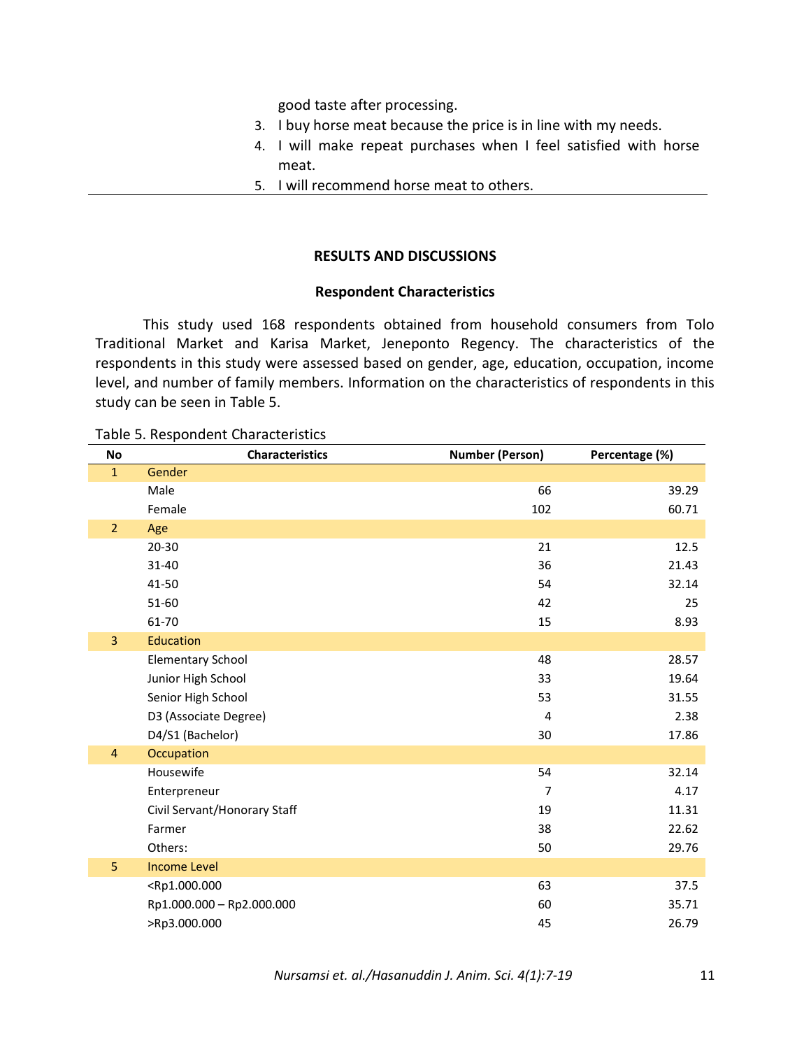good taste after processing.

- 3. I buy horse meat because the price is in line with my needs.
- 4. I will make repeat purchases when I feel satisfied with horse meat.
- 5. I will recommend horse meat to others.

## **RESULTS AND DISCUSSIONS**

## **Respondent Characteristics**

This study used 168 respondents obtained from household consumers from Tolo Traditional Market and Karisa Market, Jeneponto Regency. The characteristics of the respondents in this study were assessed based on gender, age, education, occupation, income level, and number of family members. Information on the characteristics of respondents in this study can be seen in Table 5.

### Table 5. Respondent Characteristics

| No             | <b>Characteristics</b>                                      | <b>Number (Person)</b> | Percentage (%) |
|----------------|-------------------------------------------------------------|------------------------|----------------|
| $\mathbf{1}$   | Gender                                                      |                        |                |
|                | Male                                                        | 66                     | 39.29          |
|                | Female                                                      | 102                    | 60.71          |
| $\overline{2}$ | Age                                                         |                        |                |
|                | $20 - 30$                                                   | 21                     | 12.5           |
|                | 31-40                                                       | 36                     | 21.43          |
|                | 41-50                                                       | 54                     | 32.14          |
|                | 51-60                                                       | 42                     | 25             |
|                | 61-70                                                       | 15                     | 8.93           |
| $\overline{3}$ | Education                                                   |                        |                |
|                | <b>Elementary School</b>                                    | 48                     | 28.57          |
|                | Junior High School                                          | 33                     | 19.64          |
|                | Senior High School                                          | 53                     | 31.55          |
|                | D3 (Associate Degree)                                       | $\overline{4}$         | 2.38           |
|                | D4/S1 (Bachelor)                                            | 30                     | 17.86          |
| $\overline{4}$ | Occupation                                                  |                        |                |
|                | Housewife                                                   | 54                     | 32.14          |
|                | Enterpreneur                                                | $\overline{7}$         | 4.17           |
|                | Civil Servant/Honorary Staff                                | 19                     | 11.31          |
|                | Farmer                                                      | 38                     | 22.62          |
|                | Others:                                                     | 50                     | 29.76          |
| 5              | <b>Income Level</b>                                         |                        |                |
|                | <rp1.000.000< th=""><th>63</th><th>37.5</th></rp1.000.000<> | 63                     | 37.5           |
|                | Rp1.000.000 - Rp2.000.000                                   | 60                     | 35.71          |
|                | >Rp3.000.000                                                | 45                     | 26.79          |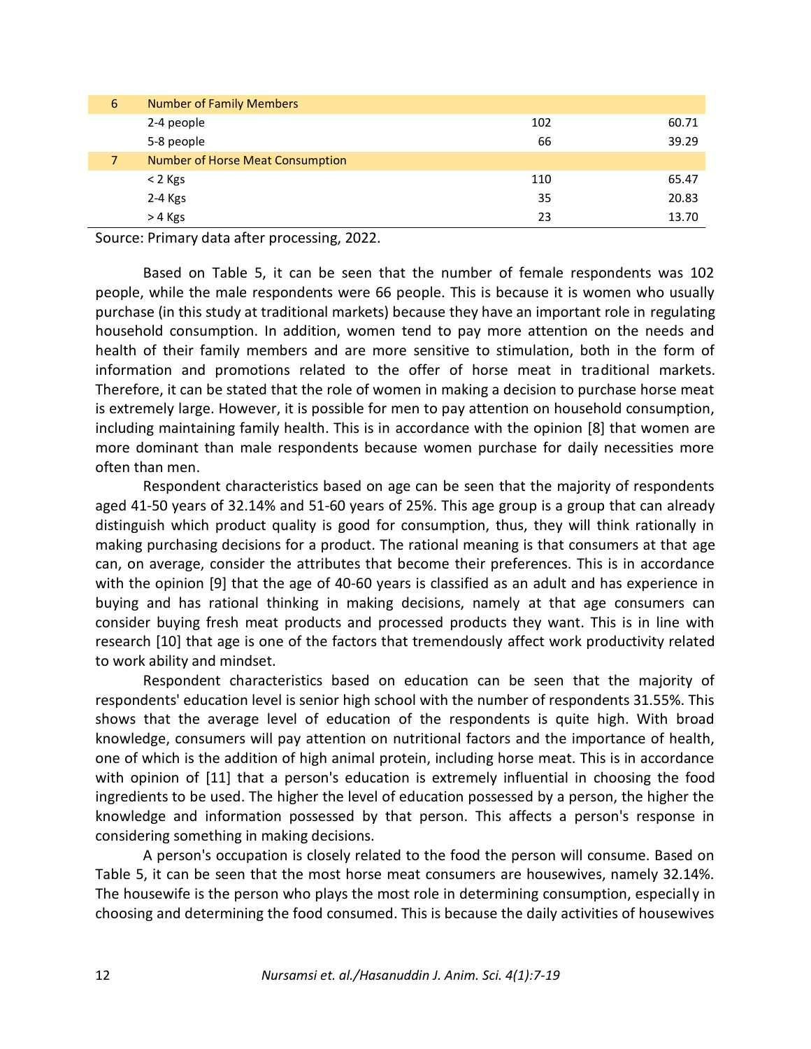| 6 | <b>Number of Family Members</b>  |     |       |
|---|----------------------------------|-----|-------|
|   | 2-4 people                       | 102 | 60.71 |
|   | 5-8 people                       | 66  | 39.29 |
| 7 | Number of Horse Meat Consumption |     |       |
|   | $<$ 2 Kgs                        | 110 | 65.47 |
|   | $2-4$ Kgs                        | 35  | 20.83 |
|   | > 4 Kgs                          | 23  | 13.70 |

Source: Primary data after processing, 2022.

Based on Table 5, it can be seen that the number of female respondents was 102 people, while the male respondents were 66 people. This is because it is women who usually purchase (in this study at traditional markets) because they have an important role in regulating household consumption. In addition, women tend to pay more attention on the needs and health of their family members and are more sensitive to stimulation, both in the form of information and promotions related to the offer of horse meat in traditional markets. Therefore, it can be stated that the role of women in making a decision to purchase horse meat is extremely large. However, it is possible for men to pay attention on household consumption, including maintaining family health. This is in accordance with the opinion [8] that women are more dominant than male respondents because women purchase for daily necessities more often than men.

Respondent characteristics based on age can be seen that the majority of respondents aged 41-50 years of 32.14% and 51-60 years of 25%. This age group is a group that can already distinguish which product quality is good for consumption, thus, they will think rationally in making purchasing decisions for a product. The rational meaning is that consumers at that age can, on average, consider the attributes that become their preferences. This is in accordance with the opinion [9] that the age of 40-60 years is classified as an adult and has experience in buying and has rational thinking in making decisions, namely at that age consumers can consider buying fresh meat products and processed products they want. This is in line with research [10] that age is one of the factors that tremendously affect work productivity related to work ability and mindset.

Respondent characteristics based on education can be seen that the majority of respondents' education level is senior high school with the number of respondents 31.55%. This shows that the average level of education of the respondents is quite high. With broad knowledge, consumers will pay attention on nutritional factors and the importance of health, one of which is the addition of high animal protein, including horse meat. This is in accordance with opinion of [11] that a person's education is extremely influential in choosing the food ingredients to be used. The higher the level of education possessed by a person, the higher the knowledge and information possessed by that person. This affects a person's response in considering something in making decisions.

A person's occupation is closely related to the food the person will consume. Based on Table 5, it can be seen that the most horse meat consumers are housewives, namely 32.14%. The housewife is the person who plays the most role in determining consumption, especially in choosing and determining the food consumed. This is because the daily activities of housewives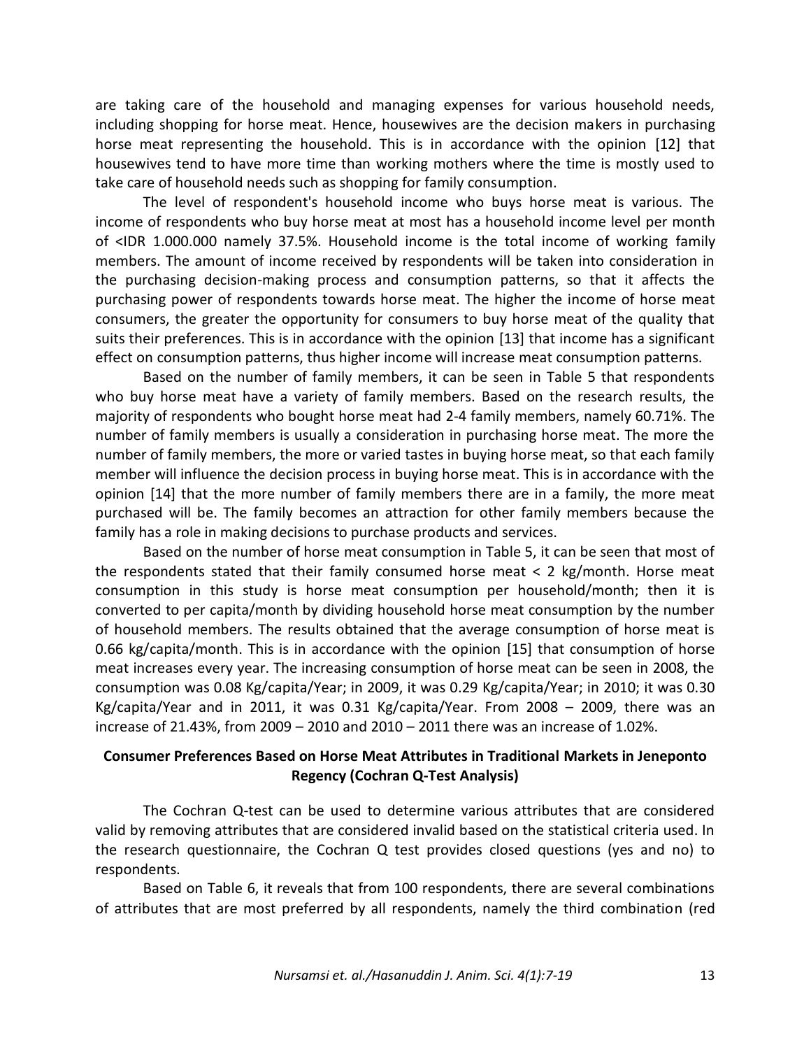are taking care of the household and managing expenses for various household needs, including shopping for horse meat. Hence, housewives are the decision makers in purchasing horse meat representing the household. This is in accordance with the opinion [12] that housewives tend to have more time than working mothers where the time is mostly used to take care of household needs such as shopping for family consumption.

The level of respondent's household income who buys horse meat is various. The income of respondents who buy horse meat at most has a household income level per month of <IDR 1.000.000 namely 37.5%. Household income is the total income of working family members. The amount of income received by respondents will be taken into consideration in the purchasing decision-making process and consumption patterns, so that it affects the purchasing power of respondents towards horse meat. The higher the income of horse meat consumers, the greater the opportunity for consumers to buy horse meat of the quality that suits their preferences. This is in accordance with the opinion [13] that income has a significant effect on consumption patterns, thus higher income will increase meat consumption patterns.

Based on the number of family members, it can be seen in Table 5 that respondents who buy horse meat have a variety of family members. Based on the research results, the majority of respondents who bought horse meat had 2-4 family members, namely 60.71%. The number of family members is usually a consideration in purchasing horse meat. The more the number of family members, the more or varied tastes in buying horse meat, so that each family member will influence the decision process in buying horse meat. This is in accordance with the opinion [14] that the more number of family members there are in a family, the more meat purchased will be. The family becomes an attraction for other family members because the family has a role in making decisions to purchase products and services.

Based on the number of horse meat consumption in Table 5, it can be seen that most of the respondents stated that their family consumed horse meat  $\lt 2$  kg/month. Horse meat consumption in this study is horse meat consumption per household/month; then it is converted to per capita/month by dividing household horse meat consumption by the number of household members. The results obtained that the average consumption of horse meat is 0.66 kg/capita/month. This is in accordance with the opinion [15] that consumption of horse meat increases every year. The increasing consumption of horse meat can be seen in 2008, the consumption was 0.08 Kg/capita/Year; in 2009, it was 0.29 Kg/capita/Year; in 2010; it was 0.30 Kg/capita/Year and in 2011, it was 0.31 Kg/capita/Year. From 2008 – 2009, there was an increase of 21.43%, from 2009 – 2010 and 2010 – 2011 there was an increase of 1.02%.

# **Consumer Preferences Based on Horse Meat Attributes in Traditional Markets in Jeneponto Regency (Cochran Q-Test Analysis)**

The Cochran Q-test can be used to determine various attributes that are considered valid by removing attributes that are considered invalid based on the statistical criteria used. In the research questionnaire, the Cochran Q test provides closed questions (yes and no) to respondents.

Based on Table 6, it reveals that from 100 respondents, there are several combinations of attributes that are most preferred by all respondents, namely the third combination (red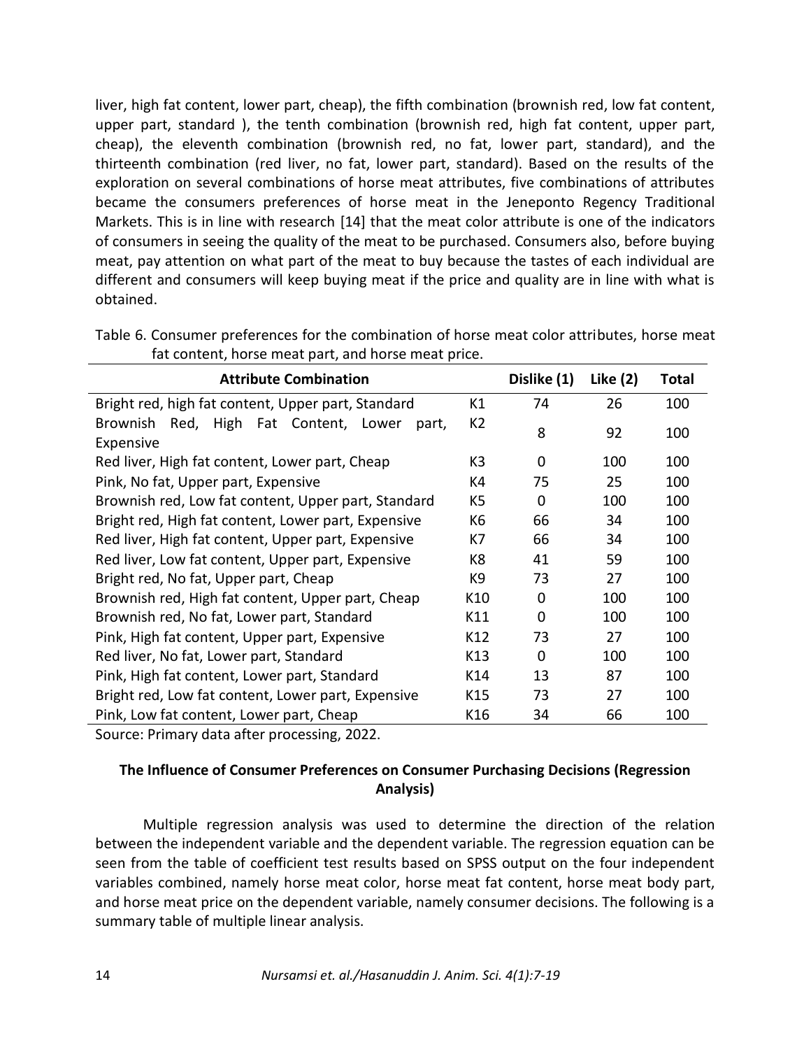liver, high fat content, lower part, cheap), the fifth combination (brownish red, low fat content, upper part, standard ), the tenth combination (brownish red, high fat content, upper part, cheap), the eleventh combination (brownish red, no fat, lower part, standard), and the thirteenth combination (red liver, no fat, lower part, standard). Based on the results of the exploration on several combinations of horse meat attributes, five combinations of attributes became the consumers preferences of horse meat in the Jeneponto Regency Traditional Markets. This is in line with research [14] that the meat color attribute is one of the indicators of consumers in seeing the quality of the meat to be purchased. Consumers also, before buying meat, pay attention on what part of the meat to buy because the tastes of each individual are different and consumers will keep buying meat if the price and quality are in line with what is obtained.

| <b>Attribute Combination</b>                                          |                | Dislike (1) | Like (2) | Total |
|-----------------------------------------------------------------------|----------------|-------------|----------|-------|
| Bright red, high fat content, Upper part, Standard                    | K1             | 74          | 26       | 100   |
| Red, High Fat Content, Lower<br><b>Brownish</b><br>part,<br>Expensive | K <sub>2</sub> | 8           | 92       | 100   |
| Red liver, High fat content, Lower part, Cheap                        | K <sub>3</sub> | 0           | 100      | 100   |
| Pink, No fat, Upper part, Expensive                                   | K4             | 75          | 25       | 100   |
| Brownish red, Low fat content, Upper part, Standard                   | K5             | 0           | 100      | 100   |
| Bright red, High fat content, Lower part, Expensive                   | K6             | 66          | 34       | 100   |
| Red liver, High fat content, Upper part, Expensive                    | K7             | 66          | 34       | 100   |
| Red liver, Low fat content, Upper part, Expensive                     | K8             | 41          | 59       | 100   |
| Bright red, No fat, Upper part, Cheap                                 | K9             | 73          | 27       | 100   |
| Brownish red, High fat content, Upper part, Cheap                     | K10            | 0           | 100      | 100   |
| Brownish red, No fat, Lower part, Standard                            | K11            | $\Omega$    | 100      | 100   |
| Pink, High fat content, Upper part, Expensive                         | K12            | 73          | 27       | 100   |
| Red liver, No fat, Lower part, Standard                               | K13            | 0           | 100      | 100   |
| Pink, High fat content, Lower part, Standard                          | K14            | 13          | 87       | 100   |
| Bright red, Low fat content, Lower part, Expensive                    | K15            | 73          | 27       | 100   |
| Pink, Low fat content, Lower part, Cheap                              | K16            | 34          | 66       | 100   |

Table 6. Consumer preferences for the combination of horse meat color attributes, horse meat fat content, horse meat part, and horse meat price.

Source: Primary data after processing, 2022.

# **The Influence of Consumer Preferences on Consumer Purchasing Decisions (Regression Analysis)**

Multiple regression analysis was used to determine the direction of the relation between the independent variable and the dependent variable. The regression equation can be seen from the table of coefficient test results based on SPSS output on the four independent variables combined, namely horse meat color, horse meat fat content, horse meat body part, and horse meat price on the dependent variable, namely consumer decisions. The following is a summary table of multiple linear analysis.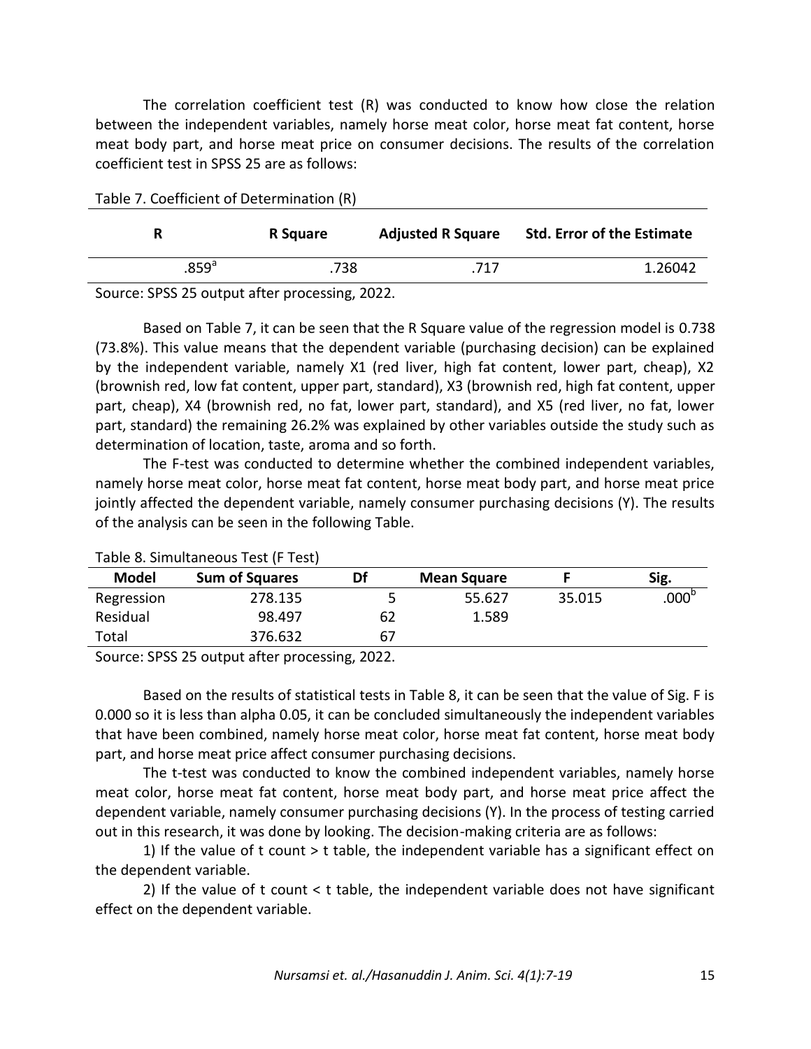The correlation coefficient test (R) was conducted to know how close the relation between the independent variables, namely horse meat color, horse meat fat content, horse meat body part, and horse meat price on consumer decisions. The results of the correlation coefficient test in SPSS 25 are as follows:

| R              | R Square | <b>Adjusted R Square</b> | <b>Std. Error of the Estimate</b> |
|----------------|----------|--------------------------|-----------------------------------|
| $.859^{\circ}$ | .738     | .717                     | 1.26042                           |

Source: SPSS 25 output after processing, 2022.

Based on Table 7, it can be seen that the R Square value of the regression model is 0.738 (73.8%). This value means that the dependent variable (purchasing decision) can be explained by the independent variable, namely X1 (red liver, high fat content, lower part, cheap), X2 (brownish red, low fat content, upper part, standard), X3 (brownish red, high fat content, upper part, cheap), X4 (brownish red, no fat, lower part, standard), and X5 (red liver, no fat, lower part, standard) the remaining 26.2% was explained by other variables outside the study such as determination of location, taste, aroma and so forth.

The F-test was conducted to determine whether the combined independent variables, namely horse meat color, horse meat fat content, horse meat body part, and horse meat price jointly affected the dependent variable, namely consumer purchasing decisions (Y). The results of the analysis can be seen in the following Table.

|              | Table of Simulations Test in Testi |    |                    |        |                   |
|--------------|------------------------------------|----|--------------------|--------|-------------------|
| <b>Model</b> | <b>Sum of Squares</b>              | Df | <b>Mean Square</b> |        | Sig.              |
| Regression   | 278.135                            | 5  | 55.627             | 35.015 | .000 <sup>r</sup> |
| Residual     | 98.497                             | 62 | 1.589              |        |                   |
| Total        | 376.632                            | 67 |                    |        |                   |

Table 8. Simultaneous Test (F Test)

Source: SPSS 25 output after processing, 2022.

Based on the results of statistical tests in Table 8, it can be seen that the value of Sig. F is 0.000 so it is less than alpha 0.05, it can be concluded simultaneously the independent variables that have been combined, namely horse meat color, horse meat fat content, horse meat body part, and horse meat price affect consumer purchasing decisions.

The t-test was conducted to know the combined independent variables, namely horse meat color, horse meat fat content, horse meat body part, and horse meat price affect the dependent variable, namely consumer purchasing decisions (Y). In the process of testing carried out in this research, it was done by looking. The decision-making criteria are as follows:

1) If the value of t count > t table, the independent variable has a significant effect on the dependent variable.

2) If the value of t count < t table, the independent variable does not have significant effect on the dependent variable.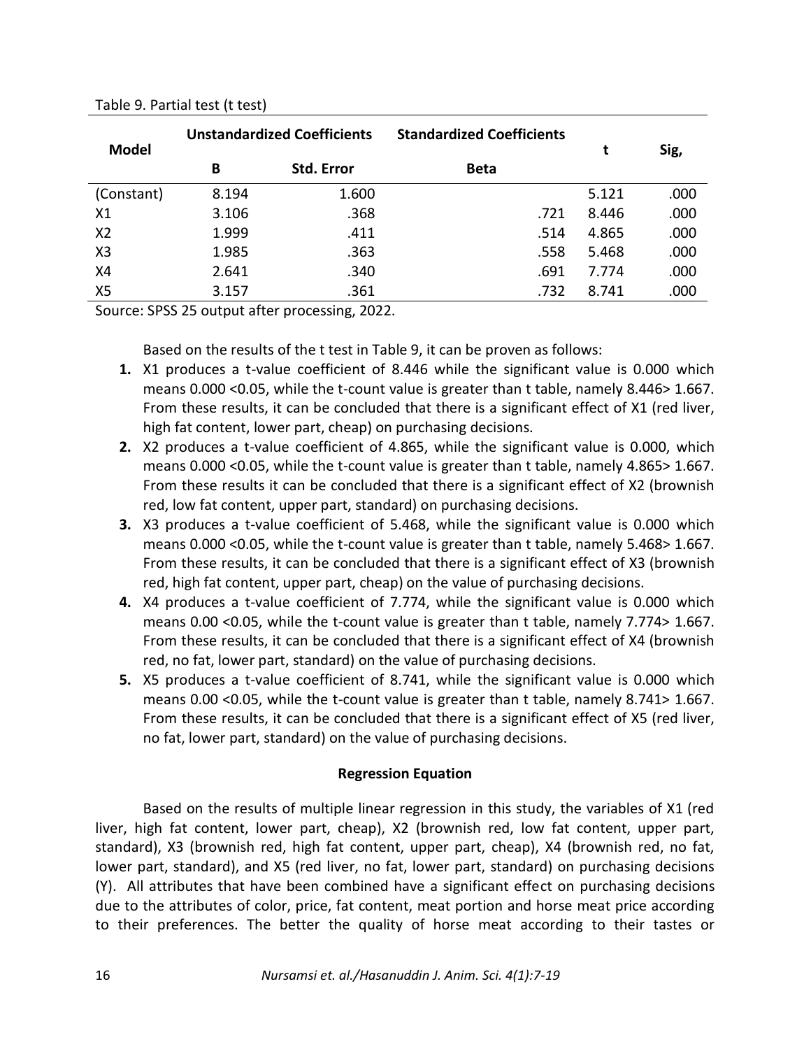| <b>Model</b>   | <b>Unstandardized Coefficients</b> |            | <b>Standardized Coefficients</b> | t     | Sig, |
|----------------|------------------------------------|------------|----------------------------------|-------|------|
|                | В                                  | Std. Error | <b>Beta</b>                      |       |      |
| (Constant)     | 8.194                              | 1.600      |                                  | 5.121 | .000 |
| X1             | 3.106                              | .368       | .721                             | 8.446 | .000 |
| X <sub>2</sub> | 1.999                              | .411       | .514                             | 4.865 | .000 |
| X <sub>3</sub> | 1.985                              | .363       | .558                             | 5.468 | .000 |
| X4             | 2.641                              | .340       | .691                             | 7.774 | .000 |
| X <sub>5</sub> | 3.157                              | .361       | .732                             | 8.741 | .000 |

## Table 9. Partial test (t test)

Source: SPSS 25 output after processing, 2022.

Based on the results of the t test in Table 9, it can be proven as follows:

- **1.** X1 produces a t-value coefficient of 8.446 while the significant value is 0.000 which means 0.000 <0.05, while the t-count value is greater than t table, namely 8.446> 1.667. From these results, it can be concluded that there is a significant effect of X1 (red liver, high fat content, lower part, cheap) on purchasing decisions.
- **2.** X2 produces a t-value coefficient of 4.865, while the significant value is 0.000, which means 0.000 <0.05, while the t-count value is greater than t table, namely 4.865> 1.667. From these results it can be concluded that there is a significant effect of X2 (brownish red, low fat content, upper part, standard) on purchasing decisions.
- **3.** X3 produces a t-value coefficient of 5.468, while the significant value is 0.000 which means 0.000 <0.05, while the t-count value is greater than t table, namely 5.468> 1.667. From these results, it can be concluded that there is a significant effect of X3 (brownish red, high fat content, upper part, cheap) on the value of purchasing decisions.
- **4.** X4 produces a t-value coefficient of 7.774, while the significant value is 0.000 which means 0.00 <0.05, while the t-count value is greater than t table, namely 7.774> 1.667. From these results, it can be concluded that there is a significant effect of X4 (brownish red, no fat, lower part, standard) on the value of purchasing decisions.
- **5.** X5 produces a t-value coefficient of 8.741, while the significant value is 0.000 which means 0.00 <0.05, while the t-count value is greater than t table, namely 8.741> 1.667. From these results, it can be concluded that there is a significant effect of X5 (red liver, no fat, lower part, standard) on the value of purchasing decisions.

# **Regression Equation**

Based on the results of multiple linear regression in this study, the variables of X1 (red liver, high fat content, lower part, cheap), X2 (brownish red, low fat content, upper part, standard), X3 (brownish red, high fat content, upper part, cheap), X4 (brownish red, no fat, lower part, standard), and X5 (red liver, no fat, lower part, standard) on purchasing decisions (Y). All attributes that have been combined have a significant effect on purchasing decisions due to the attributes of color, price, fat content, meat portion and horse meat price according to their preferences. The better the quality of horse meat according to their tastes or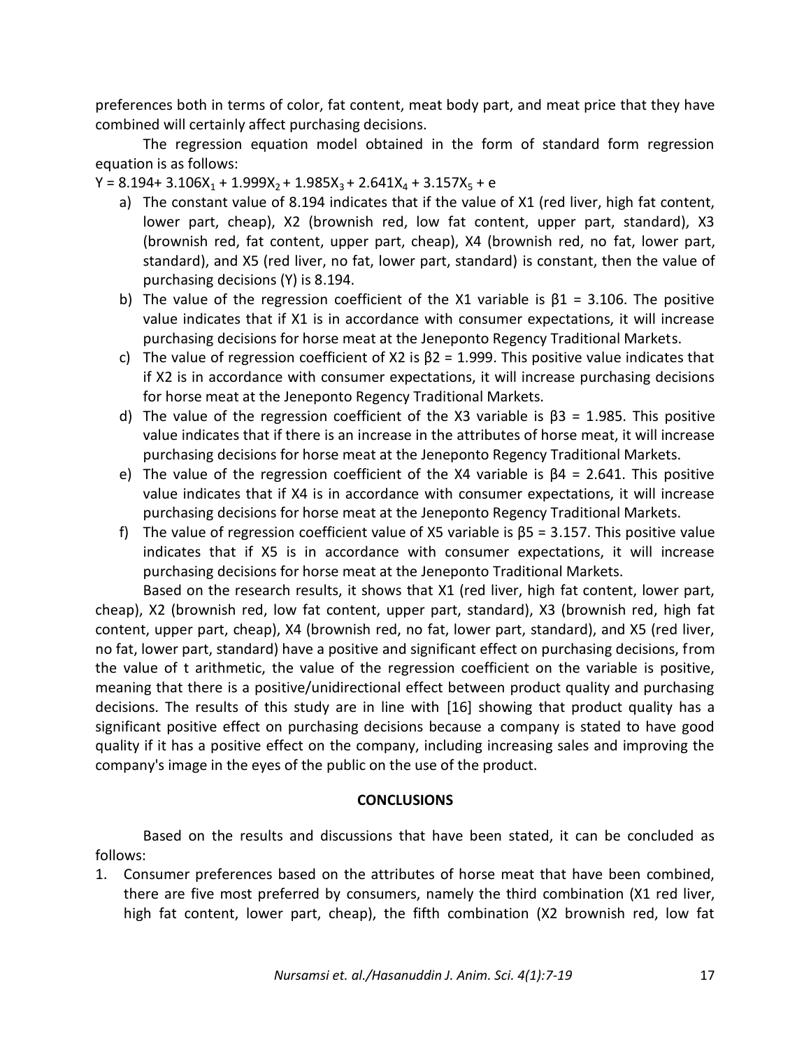preferences both in terms of color, fat content, meat body part, and meat price that they have combined will certainly affect purchasing decisions.

The regression equation model obtained in the form of standard form regression equation is as follows:

 $Y = 8.194 + 3.106X_1 + 1.999X_2 + 1.985X_3 + 2.641X_4 + 3.157X_5 + e$ 

- a) The constant value of 8.194 indicates that if the value of X1 (red liver, high fat content, lower part, cheap), X2 (brownish red, low fat content, upper part, standard), X3 (brownish red, fat content, upper part, cheap), X4 (brownish red, no fat, lower part, standard), and X5 (red liver, no fat, lower part, standard) is constant, then the value of purchasing decisions (Y) is 8.194.
- b) The value of the regression coefficient of the X1 variable is  $\beta$ 1 = 3.106. The positive value indicates that if X1 is in accordance with consumer expectations, it will increase purchasing decisions for horse meat at the Jeneponto Regency Traditional Markets.
- c) The value of regression coefficient of X2 is  $\beta$ 2 = 1.999. This positive value indicates that if X2 is in accordance with consumer expectations, it will increase purchasing decisions for horse meat at the Jeneponto Regency Traditional Markets.
- d) The value of the regression coefficient of the X3 variable is  $\beta$ 3 = 1.985. This positive value indicates that if there is an increase in the attributes of horse meat, it will increase purchasing decisions for horse meat at the Jeneponto Regency Traditional Markets.
- e) The value of the regression coefficient of the X4 variable is β4 = 2.641. This positive value indicates that if X4 is in accordance with consumer expectations, it will increase purchasing decisions for horse meat at the Jeneponto Regency Traditional Markets.
- f) The value of regression coefficient value of X5 variable is  $\beta$ 5 = 3.157. This positive value indicates that if X5 is in accordance with consumer expectations, it will increase purchasing decisions for horse meat at the Jeneponto Traditional Markets.

Based on the research results, it shows that X1 (red liver, high fat content, lower part, cheap), X2 (brownish red, low fat content, upper part, standard), X3 (brownish red, high fat content, upper part, cheap), X4 (brownish red, no fat, lower part, standard), and X5 (red liver, no fat, lower part, standard) have a positive and significant effect on purchasing decisions, from the value of t arithmetic, the value of the regression coefficient on the variable is positive, meaning that there is a positive/unidirectional effect between product quality and purchasing decisions. The results of this study are in line with [16] showing that product quality has a significant positive effect on purchasing decisions because a company is stated to have good quality if it has a positive effect on the company, including increasing sales and improving the company's image in the eyes of the public on the use of the product.

# **CONCLUSIONS**

Based on the results and discussions that have been stated, it can be concluded as follows:

1. Consumer preferences based on the attributes of horse meat that have been combined, there are five most preferred by consumers, namely the third combination (X1 red liver, high fat content, lower part, cheap), the fifth combination (X2 brownish red, low fat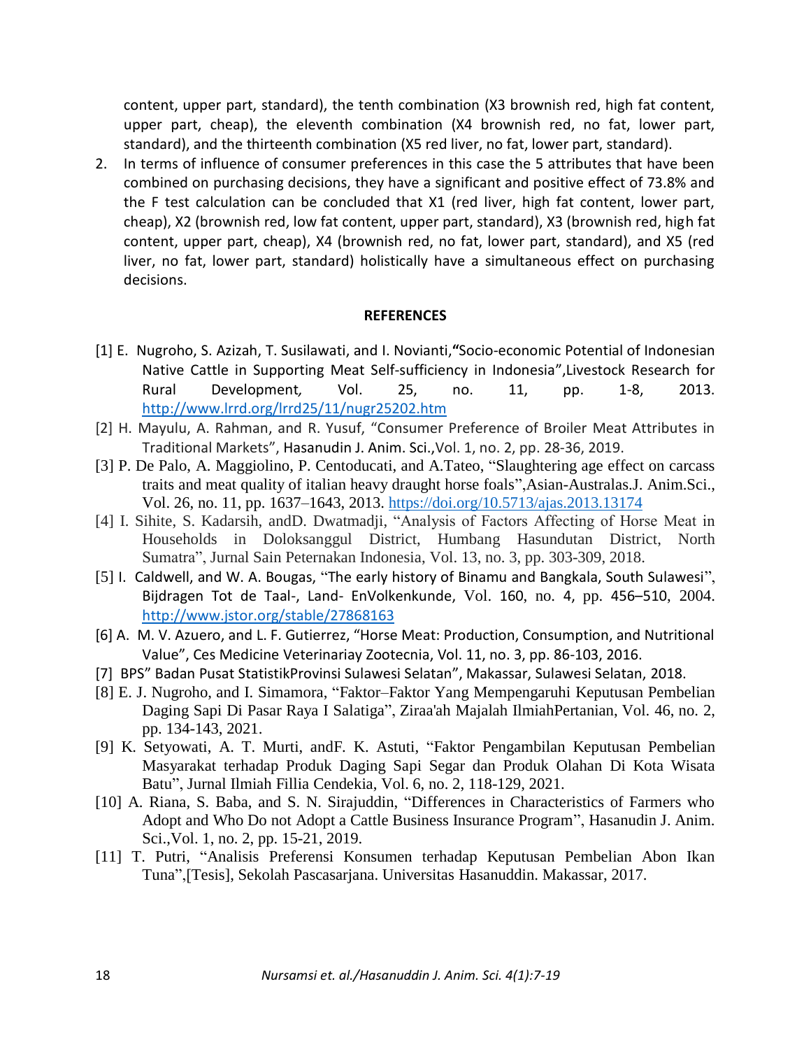content, upper part, standard), the tenth combination (X3 brownish red, high fat content, upper part, cheap), the eleventh combination (X4 brownish red, no fat, lower part, standard), and the thirteenth combination (X5 red liver, no fat, lower part, standard).

2. In terms of influence of consumer preferences in this case the 5 attributes that have been combined on purchasing decisions, they have a significant and positive effect of 73.8% and the F test calculation can be concluded that X1 (red liver, high fat content, lower part, cheap), X2 (brownish red, low fat content, upper part, standard), X3 (brownish red, high fat content, upper part, cheap), X4 (brownish red, no fat, lower part, standard), and X5 (red liver, no fat, lower part, standard) holistically have a simultaneous effect on purchasing decisions.

#### **REFERENCES**

- [1] E. Nugroho, S. Azizah, T. Susilawati, and I. Novianti,**"**Socio-economic Potential of Indonesian Native Cattle in Supporting Meat Self-sufficiency in Indonesia",Livestock Research for Rural Development*,* Vol. 25, no. 11, pp. 1-8, 2013. <http://www.lrrd.org/lrrd25/11/nugr25202.htm>
- [2] H. Mayulu, A. Rahman, and R. Yusuf, "Consumer Preference of Broiler Meat Attributes in Traditional Markets", Hasanudin J. Anim. Sci.,Vol. 1, no. 2, pp. 28-36, 2019.
- [3] P. De Palo, A. Maggiolino, P. Centoducati, and A.Tateo, "Slaughtering age effect on carcass traits and meat quality of italian heavy draught horse foals",Asian-Australas.J. Anim.Sci., Vol. 26, no. 11, pp. 1637–1643, 2013. <https://doi.org/10.5713/ajas.2013.13174>
- [4] I. Sihite, S. Kadarsih, andD. Dwatmadji, "Analysis of Factors Affecting of Horse Meat in Households in Doloksanggul District, Humbang Hasundutan District, North Sumatra", Jurnal Sain Peternakan Indonesia, Vol. 13, no. 3, pp. 303-309, 2018.
- [5] I. Caldwell, and W. A. Bougas, "The early history of Binamu and Bangkala, South Sulawesi", Bijdragen Tot de Taal-, Land- EnVolkenkunde, Vol. 160, no. 4, pp. 456–510, 2004. <http://www.jstor.org/stable/27868163>
- [6] A. M. V. Azuero, and L. F. Gutierrez, "Horse Meat: Production, Consumption, and Nutritional Value", Ces Medicine Veterinariay Zootecnia, Vol. 11, no. 3, pp. 86-103, 2016.
- [7] BPS" Badan Pusat StatistikProvinsi Sulawesi Selatan", Makassar, Sulawesi Selatan, 2018.
- [8] E. J. Nugroho, and I. Simamora, "Faktor–Faktor Yang Mempengaruhi Keputusan Pembelian Daging Sapi Di Pasar Raya I Salatiga", Ziraa'ah Majalah IlmiahPertanian, Vol. 46, no. 2, pp. 134-143, 2021.
- [9] K. Setyowati, A. T. Murti, andF. K. Astuti, "Faktor Pengambilan Keputusan Pembelian Masyarakat terhadap Produk Daging Sapi Segar dan Produk Olahan Di Kota Wisata Batu", Jurnal Ilmiah Fillia Cendekia, Vol. 6, no. 2, 118-129, 2021.
- [10] A. Riana, S. Baba, and S. N. Sirajuddin, "Differences in Characteristics of Farmers who Adopt and Who Do not Adopt a Cattle Business Insurance Program", Hasanudin J. Anim. Sci.,Vol. 1, no. 2, pp. 15-21, 2019.
- [11] T. Putri, "Analisis Preferensi Konsumen terhadap Keputusan Pembelian Abon Ikan Tuna",[Tesis], Sekolah Pascasarjana. Universitas Hasanuddin. Makassar, 2017.